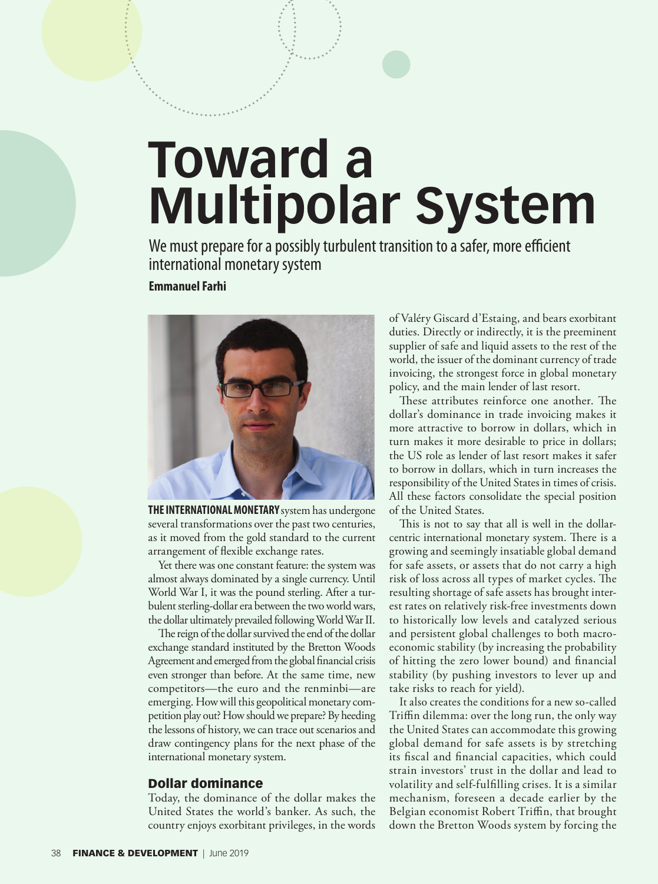## **Toward a Multipolar System**

We must prepare for a possibly turbulent transition to a safer, more efficient international monetary system

## **Emmanuel Farhi**



**THE INTERNATIONAL MONETARY** system has undergone several transformations over the past two centuries, as it moved from the gold standard to the current arrangement of flexible exchange rates.

Yet there was one constant feature: the system was almost always dominated by a single currency. Until World War I, it was the pound sterling. After a turbulent sterling-dollar era between the two world wars, the dollar ultimately prevailed following World War II.

The reign of the dollar survived the end of the dollar exchange standard instituted by the Bretton Woods Agreement and emerged from the global financial crisis even stronger than before. At the same time, new competitors—the euro and the renminbi—are emerging. How will this geopolitical monetary competition play out? How should we prepare? By heeding the lessons of history, we can trace out scenarios and draw contingency plans for the next phase of the international monetary system.

## Dollar dominance

Today, the dominance of the dollar makes the United States the world's banker. As such, the country enjoys exorbitant privileges, in the words of Valéry Giscard d'Estaing, and bears exorbitant duties. Directly or indirectly, it is the preeminent supplier of safe and liquid assets to the rest of the world, the issuer of the dominant currency of trade invoicing, the strongest force in global monetary policy, and the main lender of last resort.

These attributes reinforce one another. The dollar's dominance in trade invoicing makes it more attractive to borrow in dollars, which in turn makes it more desirable to price in dollars; the US role as lender of last resort makes it safer to borrow in dollars, which in turn increases the responsibility of the United States in times of crisis. All these factors consolidate the special position of the United States.

This is not to say that all is well in the dollarcentric international monetary system. There is a growing and seemingly insatiable global demand for safe assets, or assets that do not carry a high risk of loss across all types of market cycles. The resulting shortage of safe assets has brought interest rates on relatively risk-free investments down to historically low levels and catalyzed serious and persistent global challenges to both macroeconomic stability (by increasing the probability of hitting the zero lower bound) and financial stability (by pushing investors to lever up and take risks to reach for yield).

It also creates the conditions for a new so-called Triffin dilemma: over the long run, the only way the United States can accommodate this growing global demand for safe assets is by stretching its fiscal and financial capacities, which could strain investors' trust in the dollar and lead to volatility and self-fulfilling crises. It is a similar mechanism, foreseen a decade earlier by the Belgian economist Robert Triffin, that brought down the Bretton Woods system by forcing the